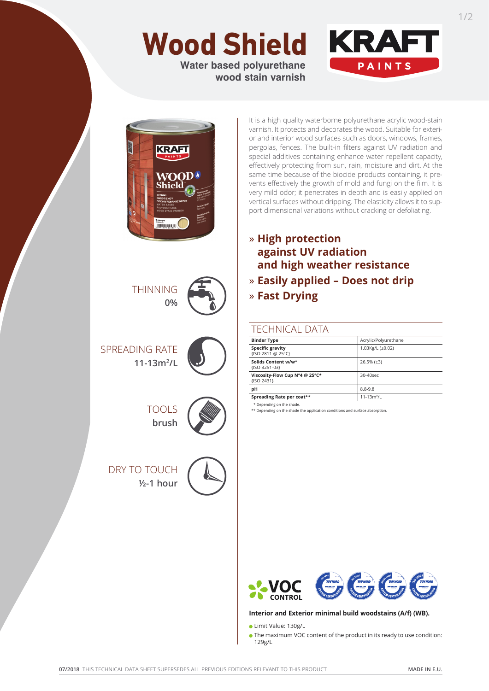# **Wood Shield**

**Water based polyurethane wood stain varnish**





THINNING **0%**

SPREADING RATE **11-13m2 /L**



TOOLS

**brush**



DRY TO TOUCH **½-1 hour**



It is a high quality waterborne polyurethane acrylic wood-stain varnish. It protects and decorates the wood. Suitable for exterior and interior wood surfaces such as doors, windows, frames, pergolas, fences. The built-in filters against UV radiation and special additives containing enhance water repellent capacity, effectively protecting from sun, rain, moisture and dirt. At the same time because of the biocide products containing, it prevents effectively the growth of mold and fungi on the film. It is very mild odor; it penetrates in depth and is easily applied on vertical surfaces without dripping. The elasticity allows it to support dimensional variations without cracking or defoliating.

# » **High protection against UV radiation and high weather resistance** » **Easily applied – Does not drip** » **Fast Drying**

## TECHNICAL DATA

| <b>Binder Type</b>                           | Acrylic/Polyurethane |
|----------------------------------------------|----------------------|
| <b>Specific gravity</b><br>{ISO 2811 @ 25°C} | 1.03Kg/L (±0.02)     |
| Solids Content w/w*<br>{ISO 3251-03}         | $26.5% (\pm 3)$      |
| Viscosity-Flow Cup N°4 @ 25°C*<br>{ISO 2431} | 30-40sec             |
| pH                                           | $8.8 - 9.8$          |
| Spreading Rate per coat**                    | $11 - 13m^2/L$       |
| * Denending on the shade                     |                      |

\* Depending on the shade. \*\* Depending on the shade the application conditions and surface absorption.



#### **Interior and Exterior minimal build woodstains (A/f) (WB).**

Limit Value: 130g/L

The maximum VOC content of the product in its ready to use condition: 129g/L